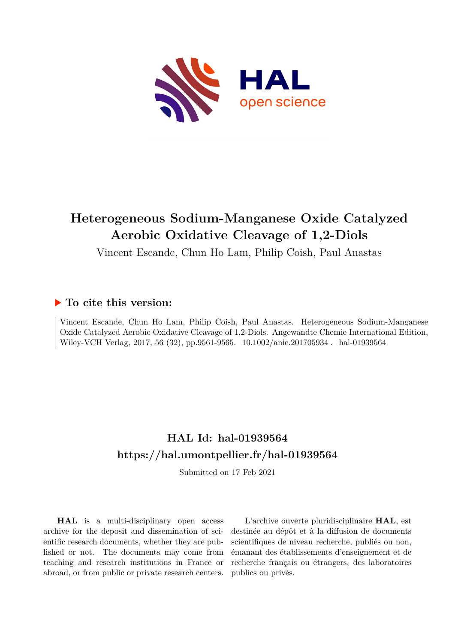

# **Heterogeneous Sodium-Manganese Oxide Catalyzed Aerobic Oxidative Cleavage of 1,2-Diols**

Vincent Escande, Chun Ho Lam, Philip Coish, Paul Anastas

### **To cite this version:**

Vincent Escande, Chun Ho Lam, Philip Coish, Paul Anastas. Heterogeneous Sodium-Manganese Oxide Catalyzed Aerobic Oxidative Cleavage of 1,2-Diols. Angewandte Chemie International Edition, Wiley-VCH Verlag, 2017, 56 (32), pp.9561-9565.  $10.1002/$ anie.201705934. hal-01939564

## **HAL Id: hal-01939564 <https://hal.umontpellier.fr/hal-01939564>**

Submitted on 17 Feb 2021

**HAL** is a multi-disciplinary open access archive for the deposit and dissemination of scientific research documents, whether they are published or not. The documents may come from teaching and research institutions in France or abroad, or from public or private research centers.

L'archive ouverte pluridisciplinaire **HAL**, est destinée au dépôt et à la diffusion de documents scientifiques de niveau recherche, publiés ou non, émanant des établissements d'enseignement et de recherche français ou étrangers, des laboratoires publics ou privés.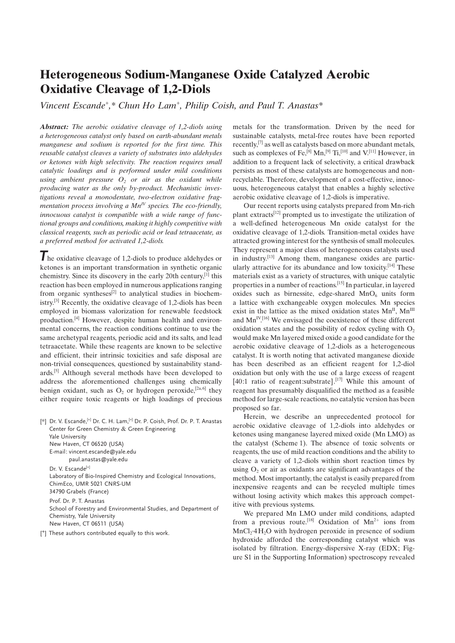## Heterogeneous Sodium-Manganese Oxide Catalyzed Aerobic Oxidative Cleavage of 1,2-Diols

[Vincent Escande](http://orcid.org/0000-0003-3164-8128)<sup>[+](http://orcid.org/0000-0003-3085-1634)</sup>[,\\*](http://orcid.org/0000-0003-3164-8128) [Chun Ho Lam](http://orcid.org/0000-0003-3085-1634)<sup>+</sup>[,](http://orcid.org/0000-0003-3085-1634) [Philip Coish,](http://orcid.org/0000-0002-3649-1636) and [Paul](http://orcid.org/0000-0003-4777-5172) T. [Anastas\\*](http://orcid.org/0000-0003-4777-5172)

Abstract: The aerobic oxidative cleavage of 1,2-diols using a heterogeneous catalyst only based on earth-abundant metals manganese and sodium is reported for the first time. This reusable catalyst cleaves a variety of substrates into aldehydes or ketones with high selectivity. The reaction requires small catalytic loadings and is performed under mild conditions using ambient pressure  $O_2$  or air as the oxidant while producing water as the only by-product. Mechanistic investigations reveal a monodentate, two-electron oxidative fragmentation process involving a  $Mn^V$  species. The eco-friendly, innocuous catalyst is compatible with a wide range of functional groups and conditions, making it highly competitive with classical reagents, such as periodic acid or lead tetraacetate, as a preferred method for activated 1,2-diols.

The oxidative cleavage of 1,2-diols to produce aldehydes or ketones is an important transformation in synthetic organic chemistry. Since its discovery in the early 20th century,<sup>[1]</sup> this reaction has been employed in numerous applications ranging from organic syntheses<sup>[2]</sup> to analytical studies in biochemistry.[3] Recently, the oxidative cleavage of 1,2-diols has been employed in biomass valorization for renewable feedstock production.[4] However, despite human health and environmental concerns, the reaction conditions continue to use the same archetypal reagents, periodic acid and its salts, and lead tetraacetate. While these reagents are known to be selective and efficient, their intrinsic toxicities and safe disposal are non-trivial consequences, questioned by sustainability standards.[5] Although several methods have been developed to address the aforementioned challenges using chemically benign oxidant, such as  $O_2$  or hydrogen peroxide,<sup>[2a, 6]</sup> they either require toxic reagents or high loadings of precious

[\*] Dr. V. Escande, [+] Dr. C. H. Lam, [+] Dr. P. Coish, Prof. Dr. P. T. Anastas Center for Green Chemistry & Green Engineering Yale University New Haven, CT 06520 (USA) E-mail: vincent.escande@yale.edu paul.anastas@yale.edu Dr. V. Escande<sup>[+]</sup> Laboratory of Bio-Inspired Chemistry and Ecological Innovations, ChimEco, UMR 5021 CNRS-UM 34790 Grabels (France) Prof. Dr. P. T. Anastas School of Forestry and Environmental Studies, and Department of Chemistry, Yale University New Haven, CT 06511 (USA)

[<sup>+</sup>] These authors contributed equally to this work.

metals for the transformation. Driven by the need for sustainable catalysts, metal-free routes have been reported recently,[7] as well as catalysts based on more abundant metals, such as complexes of Fe,<sup>[8]</sup> Mn,<sup>[9]</sup> Ti,<sup>[10]</sup> and V.<sup>[11]</sup> However, in addition to a frequent lack of selectivity, a critical drawback persists as most of these catalysts are homogeneous and nonrecyclable. Therefore, development of a cost-effective, innocuous, heterogeneous catalyst that enables a highly selective aerobic oxidative cleavage of 1,2-diols is imperative.

Our recent reports using catalysts prepared from Mn-rich plant extracts[12] prompted us to investigate the utilization of a well-defined heterogeneous Mn oxide catalyst for the oxidative cleavage of 1,2-diols. Transition-metal oxides have attracted growing interest for the synthesis of small molecules. They represent a major class of heterogeneous catalysts used in industry.[13] Among them, manganese oxides are particularly attractive for its abundance and low toxicity.<sup>[14]</sup> These materials exist as a variety of structures, with unique catalytic properties in a number of reactions.[15] In particular, in layered oxides such as birnessite, edge-shared  $MnO<sub>6</sub>$  units form a lattice with exchangeable oxygen molecules. Mn species exist in the lattice as the mixed oxidation states  $Mn^{II}$ ,  $Mn^{III}$ and  $Mn^{IV[16]}$  We envisaged the coexistence of these different oxidation states and the possibility of redox cycling with  $O<sub>2</sub>$ would make Mn layered mixed oxide a good candidate for the aerobic oxidative cleavage of 1,2-diols as a heterogeneous catalyst. It is worth noting that activated manganese dioxide has been described as an efficient reagent for 1,2-diol oxidation but only with the use of a large excess of reagent [40:1 ratio of reagent:substrate].<sup>[17]</sup> While this amount of reagent has presumably disqualified the method as a feasible method for large-scale reactions, no catalytic version has been proposed so far.

Herein, we describe an unprecedented protocol for aerobic oxidative cleavage of 1,2-diols into aldehydes or ketones using manganese layered mixed oxide (Mn LMO) as the catalyst (Scheme 1). The absence of toxic solvents or reagents, the use of mild reaction conditions and the ability to cleave a variety of 1,2-diols within short reaction times by using  $O<sub>2</sub>$  or air as oxidants are significant advantages of the method. Most importantly, the catalyst is easily prepared from inexpensive reagents and can be recycled multiple times without losing activity which makes this approach competitive with previous systems.

We prepared Mn LMO under mild conditions, adapted from a previous route.<sup>[18]</sup> Oxidation of  $Mn^{2+}$  ions from  $MnCl<sub>2</sub>·4H<sub>2</sub>O$  with hydrogen peroxide in presence of sodium hydroxide afforded the corresponding catalyst which was isolated by filtration. Energy-dispersive X-ray (EDX; Figure S1 in the Supporting Information) spectroscopy revealed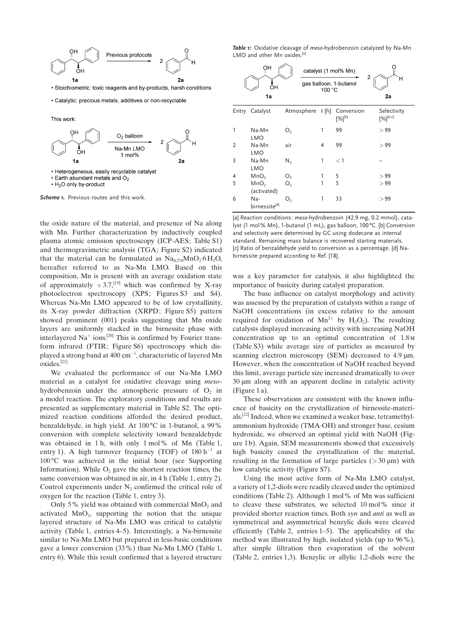

· Stoichiometric: toxic reagents and by-products, harsh conditions





Scheme 1. Previous routes and this work.

the oxide nature of the material, and presence of Na along with Mn. Further characterization by inductively coupled plasma atomic emission spectroscopy (ICP-AES; Table S1) and thermogravimetric analysis (TGA; Figure S2) indicated that the material can be formulated as  $Na<sub>0.274</sub>MnO<sub>2</sub>·6H<sub>2</sub>O$ , hereafter referred to as Na-Mn LMO. Based on this composition, Mn is present with an average oxidation state of approximately  $+3.7$ ,<sup>[19]</sup> which was confirmed by X-ray photoelectron spectroscopy (XPS; Figures S3 and S4). Whereas Na-Mn LMO appeared to be of low crystallinity, its X-ray powder diffraction (XRPD; Figure S5) pattern showed prominent (001) peaks suggesting that Mn oxide layers are uniformly stacked in the birnessite phase with interlayered  $Na^+$  ions.<sup>[20]</sup> This is confirmed by Fourier transform infrared (FTIR; Figure S6) spectroscopy which displayed a strong band at 400  $\rm cm^{-1}$ , characteristic of layered Mn oxides.[21]

We evaluated the performance of our Na-Mn LMO material as a catalyst for oxidative cleavage using mesohydrobenzoin under the atmospheric pressure of  $O<sub>2</sub>$  in a model reaction. The exploratory conditions and results are presented as supplementary material in Table S2. The optimized reaction conditions afforded the desired product, benzaldehyde, in high yield. At 100°C in 1-butanol, a 99% conversion with complete selectivity toward benzaldehyde was obtained in 1 h, with only 1 mol% of Mn (Table 1, entry 1). A high turnover frequency (TOF) of  $180 h^{-1}$  at  $100^{\circ}$ C was achieved in the initial hour (see Supporting Information). While  $O<sub>2</sub>$  gave the shortest reaction times, the same conversion was obtained in air, in 4 h (Table 1, entry 2). Control experiments under  $N_2$  confirmed the critical role of oxygen for the reaction (Table 1, entry 3).

Only 5% yield was obtained with commercial  $MnO<sub>2</sub>$  and activated  $MnO<sub>2</sub>$ , supporting the notion that the unique layered structure of Na-Mn LMO was critical to catalytic activity (Table 1, entries 4–5). Interestingly, a Na-birnessite similar to Na-Mn LMO but prepared in less-basic conditions gave a lower conversion (33%) than Na-Mn LMO (Table 1, entry 6). While this result confirmed that a layered structure

Table 1: Oxidative cleavage of meso-hydrobenzoin catalyzed by Na-Mn LMO and other Mn oxides.<sup>[a]</sup>

|                | OН<br>OH<br>1a                   |                | 100 °C  | catalyst (1 mol% Mn)<br>2<br>gas balloon, 1-butanol | н<br>2a                      |
|----------------|----------------------------------|----------------|---------|-----------------------------------------------------|------------------------------|
| Entry          | Catalyst                         | Atmosphere     | $t$ [h] | Conversion<br>$[%]^{[b]}$                           | Selectivity<br>$[%]^{[b,c]}$ |
| ı              | Na-Mn<br><b>LMO</b>              | O <sub>2</sub> | 1       | 99                                                  | > 99                         |
| $\overline{2}$ | Na-Mn<br><b>LMO</b>              | air            | 4       | 99                                                  | > 99                         |
| 3              | Na-Mn<br>LMO                     | $N_{2}$        | 1       | $<$ 1                                               |                              |
| 4              | MnO <sub>2</sub>                 | O <sub>2</sub> | 1       | 5                                                   | > 99                         |
| 5              | MnO <sub>2</sub><br>(activated)  | O <sub>2</sub> | 1       | 5                                                   | > 99                         |
| 6              | Na-<br>birnessite <sup>[d]</sup> | O,             | 1       | 33                                                  | > 99                         |

[a] Reaction conditions: meso-hydrobenzoin (42.9 mg, 0.2 mmol), catalyst (1 mol% Mn), 1-butanol (1 mL), gas balloon, 100 °C. [b] Conversion and selectivity were determined by GC using dodecane as internal standard. Remaining mass balance is recovered starting materials. [c] Ratio of benzaldehyde yield to conversion as a percentage. [d] Nabirnessite prepared according to Ref. [18].

was a key parameter for catalysis, it also highlighted the importance of basicity during catalyst preparation.

The base influence on catalyst morphology and activity was assessed by the preparation of catalysts within a range of NaOH concentrations (in excess relative to the amount required for oxidation of  $Mn^{2+}$  by  $H_2O_2$ ). The resulting catalysts displayed increasing activity with increasing NaOH concentration up to an optimal concentration of 1.8m (Table S3) while average size of particles as measured by scanning electron microscopy (SEM) decreased to 4.9  $\mu$ m. However, when the concentration of NaOH reached beyond this limit, average particle size increased dramatically to over  $30 \mu m$  along with an apparent decline in catalytic activity (Figure 1 a).

These observations are consistent with the known influence of basicity on the crystallization of birnessite-materials.[22] Indeed, when we examined a weaker base, tetramethylammonium hydroxide (TMA·OH) and stronger base, cesium hydroxide, we observed an optimal yield with NaOH (Figure 1 b). Again, SEM measurements showed that excessively high basicity caused the crystallization of the material, resulting in the formation of large particles ( $>$  30  $\mu$ m) with low catalytic activity (Figure S7).

Using the most active form of Na-Mn LMO catalyst, a variety of 1,2-diols were readily cleaved under the optimized conditions (Table 2). Although 1 mol% of Mn was sufficient to cleave these substrates, we selected 10 mol% since it provided shorter reaction times. Both syn and anti as well as symmetrical and asymmetrical benzylic diols were cleaved efficiently (Table 2, entries 1–5). The applicability of the method was illustrated by high, isolated yields (up to 96%), after simple filtration then evaporation of the solvent (Table 2, entries 1,3). Benzylic or allylic 1,2-diols were the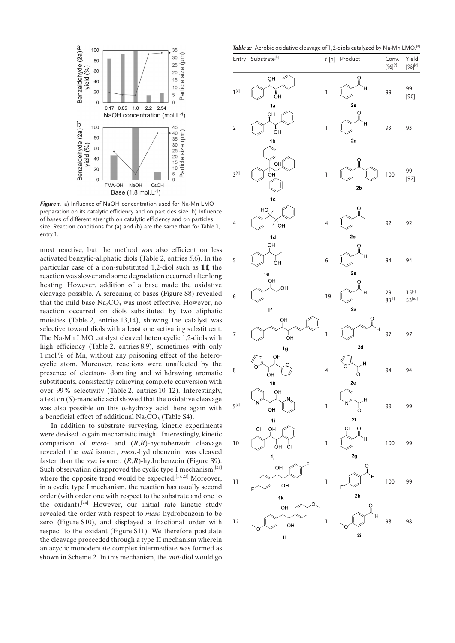

Figure 1. a) Influence of NaOH concentration used for Na-Mn LMO preparation on its catalytic efficiency and on particles size. b) Influence of bases of different strength on catalytic efficiency and on particles size. Reaction conditions for (a) and (b) are the same than for Table 1, entry 1.

most reactive, but the method was also efficient on less activated benzylic-aliphatic diols (Table 2, entries 5,6). In the particular case of a non-substituted 1,2-diol such as 1 f, the reaction was slower and some degradation occurred after long heating. However, addition of a base made the oxidative cleavage possible. A screening of bases (Figure S8) revealed that the mild base  $Na<sub>2</sub>CO<sub>3</sub>$  was most effective. However, no reaction occurred on diols substituted by two aliphatic moieties (Table 2, entries 13,14), showing the catalyst was selective toward diols with a least one activating substituent. The Na-Mn LMO catalyst cleaved heterocyclic 1,2-diols with high efficiency (Table 2, entries 8,9), sometimes with only 1 mol% of Mn, without any poisoning effect of the heterocyclic atom. Moreover, reactions were unaffected by the presence of electron- donating and withdrawing aromatic substituents, consistently achieving complete conversion with over 99% selectivity (Table 2, entries 10–12). Interestingly, a test on (S)-mandelic acid showed that the oxidative cleavage was also possible on this  $\alpha$ -hydroxy acid, here again with a beneficial effect of additional  $Na<sub>2</sub>CO<sub>3</sub>$  (Table S4).

In addition to substrate surveying, kinetic experiments were devised to gain mechanistic insight. Interestingly, kinetic comparison of *meso*- and  $(R,R)$ -hydrobenzoin cleavage revealed the anti isomer, meso-hydrobenzoin, was cleaved faster than the syn isomer,  $(R,R)$ -hydrobenzoin (Figure S9). Such observation disapproved the cyclic type I mechanism,  $[2a]$ where the opposite trend would be expected.<sup>[17,23]</sup> Moreover. in a cyclic type I mechanism, the reaction has usually second order (with order one with respect to the substrate and one to the oxidant).[2a] However, our initial rate kinetic study revealed the order with respect to meso-hydrobenzoin to be zero (Figure S10), and displayed a fractional order with respect to the oxidant (Figure S11). We therefore postulate the cleavage proceeded through a type II mechanism wherein an acyclic monodentate complex intermediate was formed as shown in Scheme 2. In this mechanism, the anti-diol would go

Table 2: Aerobic oxidative cleavage of 1.2-diols catalyzed by Na-Mn LMO.<sup>[a]</sup>

|                  |                                |                                           | $\cdot$ .<br>-- - ,               | .                     |                            |
|------------------|--------------------------------|-------------------------------------------|-----------------------------------|-----------------------|----------------------------|
|                  | Entry Substrate <sup>[b]</sup> |                                           | $t[h]$ Product                    | Conv.<br>$[\%]^{[c]}$ | Yield<br>$[\%]^{[c]}$      |
| $I^{[d]}$        | ŌΗ<br>ŌН<br>1a                 | $\begin{array}{c} \mathbf{1} \end{array}$ | $\Omega$<br>H<br>2a               | 99                    | 99<br>$[96]$               |
| $\sqrt{2}$       | ŌН<br>OH<br>1b                 | $\mathsf{I}$                              | $\frac{0}{\pi}$<br>Н<br>2a        | 93                    | 93                         |
| $3^{[d]}$        | òнĮ<br>OH<br>1c                | $\begin{array}{c} \mathbf{1} \end{array}$ | $\frac{0}{\pi}$<br>2b             | 100                   | 99<br>$[92]$               |
| 4                | HQ<br>òн<br>1d                 | $\overline{\mathbf{4}}$                   | O<br>2c                           | 92                    | 92                         |
| 5                | ÒН<br>ÒН<br>1e                 | 6                                         | Ó<br>н<br>2a                      | 94                    | 94                         |
| 6                | OН<br>.OH<br>1f                | 19                                        | O<br>Н<br>2a                      | 29<br>$83^{[f]}$      | $15^{[e]}$<br>$53^{[e,f]}$ |
| 7                | OH<br>ÒН<br>1g                 | $\mathbf{I}$                              | $\frac{0}{\mathbb{I}}$<br>н<br>2d | 97                    | 97                         |
| 8                | OH<br>O<br>ÒН<br>1h            | 4                                         | H.<br>0<br>O<br>2e                | 94                    | 94                         |
| 9 <sup>[d]</sup> | OH<br>ÒН<br>1i                 | $\begin{array}{c} \mathbf{1} \end{array}$ | н<br>O<br>2f                      | 99                    | 99                         |
| 10               | OH<br>СI<br>OH<br>CI<br>1j     | $\begin{array}{c} \mathbf{1} \end{array}$ | СI<br>O<br>н<br>2g                | 100                   | 99                         |
| $\overline{11}$  | F<br>QН<br>ÒН                  | $\mathbf{I}$                              | O<br>н<br>2 <sub>h</sub>          | 100                   | 99                         |
| 12               | 1k<br>QН<br>ÒН<br>11           | $\mathbf{I}$                              | ö<br>н<br>2i                      | 98                    | 98                         |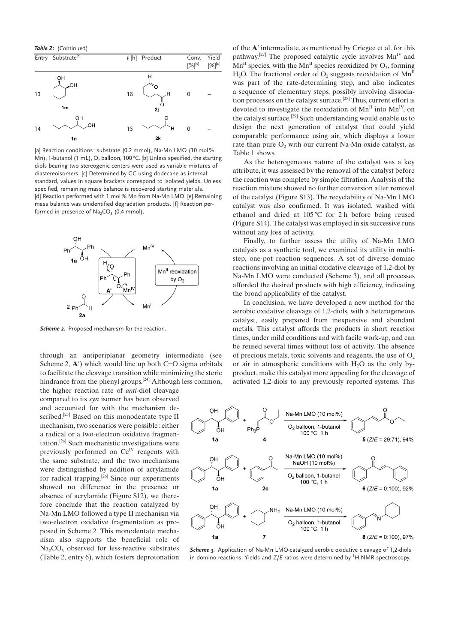Table 2: (Continued)



[a] Reaction conditions: substrate (0.2 mmol), Na-Mn LMO (10 mol% Mn), 1-butanol (1 mL),  $O_2$  balloon, 100°C. [b] Unless specified, the starting diols bearing two stereogenic centers were used as variable mixtures of diastereoisomers. [c] Determined by GC using dodecane as internal standard, values in square brackets correspond to isolated yields. Unless specified, remaining mass balance is recovered starting materials. [d] Reaction performed with 1 mol% Mn from Na-Mn LMO. [e] Remaining mass balance was unidentified degradation products. [f] Reaction performed in presence of  $Na<sub>2</sub>CO<sub>3</sub>$  (0.4 mmol).



Scheme 2. Proposed mechanism for the reaction.

through an antiperiplanar geometry intermediate (see Scheme 2,  $\mathbf{A}'$ ) which would line up both C-O sigma orbitals to facilitate the cleavage transition while minimizing the steric hindrance from the phenyl groups.<sup>[24]</sup> Although less common,

the higher reaction rate of anti-diol cleavage compared to its syn isomer has been observed and accounted for with the mechanism described.<sup>[25]</sup> Based on this monodentate type II mechanism, two scenarios were possible: either a radical or a two-electron oxidative fragmentation.[2a] Such mechanistic investigations were previously performed on  $Ce^{IV}$  reagents with the same substrate, and the two mechanisms were distinguished by addition of acrylamide for radical trapping.<sup>[26]</sup> Since our experiments showed no difference in the presence or absence of acrylamide (Figure S12), we therefore conclude that the reaction catalyzed by Na-Mn LMO followed a type II mechanism via two-electron oxidative fragmentation as proposed in Scheme 2. This monodentate mechanism also supports the beneficial role of  $Na<sub>2</sub>CO<sub>3</sub>$  observed for less-reactive substrates (Table 2, entry 6), which fosters deprotonation of the A' intermediate, as mentioned by Criegee et al. for this pathway.<sup>[27]</sup> The proposed catalytic cycle involves  $Mn^{\rm IV}$  and  $Mn<sup>H</sup>$  species, with the  $Mn<sup>H</sup>$  species reoxidized by  $O_2$ , forming  $H_2O$ . The fractional order of  $O_2$  suggests reoxidation of  $Mn^{\text{II}}$ was part of the rate-determining step, and also indicates a sequence of elementary steps, possibly involving dissociation processes on the catalyst surface.[28] Thus, current effort is devoted to investigate the reoxidation of  $Mn^{\text{II}}$  into  $Mn^{\text{IV}}$ , on the catalyst surface.[29] Such understanding would enable us to design the next generation of catalyst that could yield comparable performance using air, which displays a lower rate than pure  $O<sub>2</sub>$  with our current Na-Mn oxide catalyst, as Table 1 shows.

As the heterogeneous nature of the catalyst was a key attribute, it was assessed by the removal of the catalyst before the reaction was complete by simple filtration. Analysis of the reaction mixture showed no further conversion after removal of the catalyst (Figure S13). The recyclability of Na-Mn LMO catalyst was also confirmed. It was isolated, washed with ethanol and dried at  $105^{\circ}$ C for 2 h before being reused (Figure S14). The catalyst was employed in six successive runs without any loss of activity.

Finally, to further assess the utility of Na-Mn LMO catalysis as a synthetic tool, we examined its utility in multistep, one-pot reaction sequences. A set of diverse domino reactions involving an initial oxidative cleavage of 1,2-diol by Na-Mn LMO were conducted (Scheme 3), and all processes afforded the desired products with high efficiency, indicating the broad applicability of the catalyst.

In conclusion, we have developed a new method for the aerobic oxidative cleavage of 1,2-diols, with a heterogeneous catalyst, easily prepared from inexpensive and abundant metals. This catalyst affords the products in short reaction times, under mild conditions and with facile work-up, and can be reused several times without loss of activity. The absence of precious metals, toxic solvents and reagents, the use of  $O<sub>2</sub>$ or air in atmospheric conditions with  $H_2O$  as the only byproduct, make this catalyst more appealing for the cleavage of activated 1,2-diols to any previously reported systems. This



Scheme 3. Application of Na-Mn LMO-catalyzed aerobic oxidative cleavage of 1,2-diols in domino reactions. Yields and  $Z/E$  ratios were determined by  ${}^{1}H$  NMR spectroscopy.